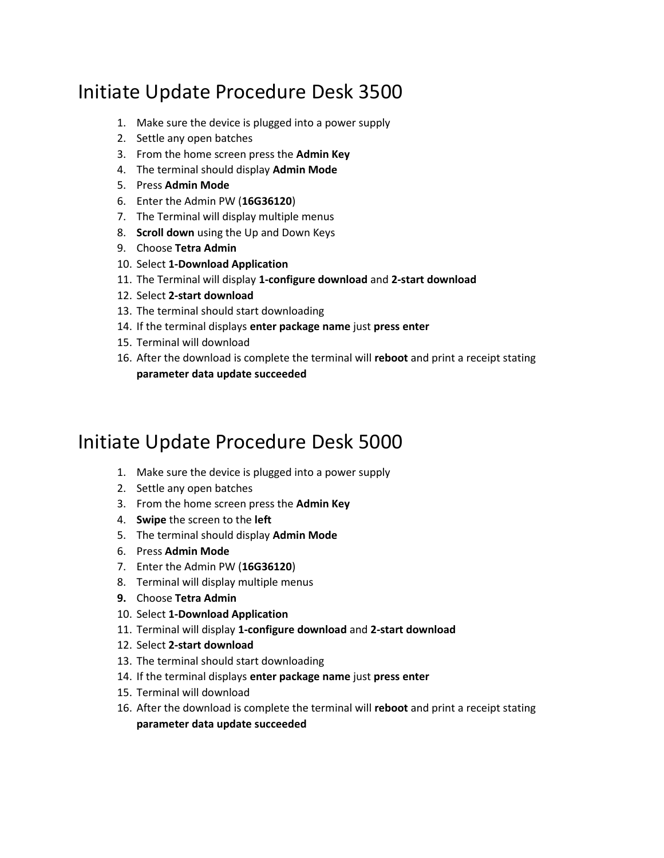## Initiate Update Procedure Desk 3500

- 1. Make sure the device is plugged into a power supply
- 2. Settle any open batches
- 3. From the home screen press the Admin Key
- 4. The terminal should display Admin Mode
- 5. Press Admin Mode
- 6. Enter the Admin PW (16G36120)
- 7. The Terminal will display multiple menus
- 8. Scroll down using the Up and Down Keys
- 9. Choose Tetra Admin
- 10. Select 1-Download Application
- 11. The Terminal will display 1-configure download and 2-start download
- 12. Select 2-start download
- 13. The terminal should start downloading
- 14. If the terminal displays enter package name just press enter
- 15. Terminal will download
- 16. After the download is complete the terminal will reboot and print a receipt stating parameter data update succeeded

## Initiate Update Procedure Desk 5000

- 1. Make sure the device is plugged into a power supply
- 2. Settle any open batches
- 3. From the home screen press the Admin Key
- 4. Swipe the screen to the left
- 5. The terminal should display Admin Mode
- 6. Press Admin Mode
- 7. Enter the Admin PW (16G36120)
- 8. Terminal will display multiple menus
- 9. Choose Tetra Admin
- 10. Select 1-Download Application
- 11. Terminal will display 1-configure download and 2-start download
- 12. Select 2-start download
- 13. The terminal should start downloading
- 14. If the terminal displays enter package name just press enter
- 15. Terminal will download
- 16. After the download is complete the terminal will reboot and print a receipt stating parameter data update succeeded